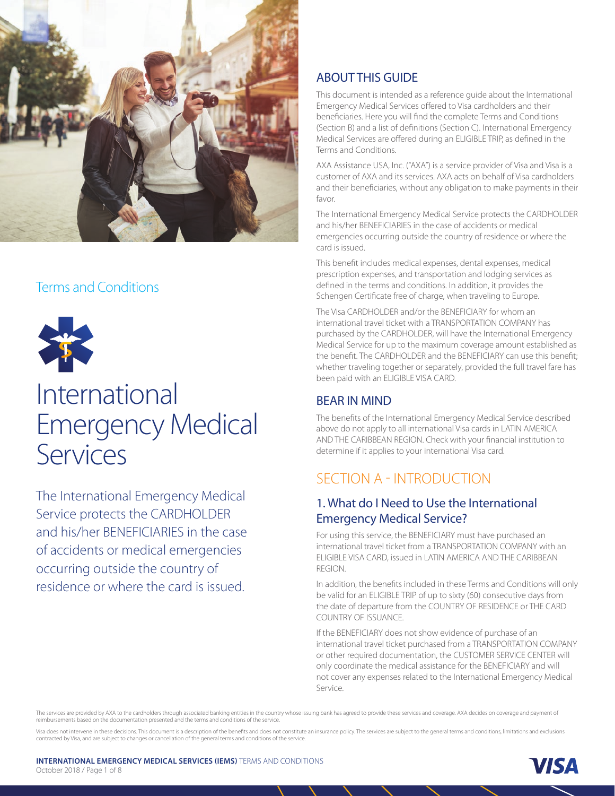

# Terms and Conditions



# International Emergency Medical Services

The International Emergency Medical Service protects the CARDHOLDER and his/her BENEFICIARIES in the case of accidents or medical emergencies occurring outside the country of residence or where the card is issued.

# ABOUT THIS GUIDE

This document is intended as a reference guide about the International Emergency Medical Services offered to Visa cardholders and their beneficiaries. Here you will find the complete Terms and Conditions (Section B) and a list of definitions (Section C). International Emergency Medical Services are offered during an ELIGIBLE TRIP, as defined in the Terms and Conditions.

AXA Assistance USA, Inc. ("AXA") is a service provider of Visa and Visa is a customer of AXA and its services. AXA acts on behalf of Visa cardholders and their beneficiaries, without any obligation to make payments in their favor.

The International Emergency Medical Service protects the CARDHOLDER and his/her BENEFICIARIES in the case of accidents or medical emergencies occurring outside the country of residence or where the card is issued.

This benefit includes medical expenses, dental expenses, medical prescription expenses, and transportation and lodging services as defined in the terms and conditions. In addition, it provides the Schengen Certificate free of charge, when traveling to Europe.

The Visa CARDHOLDER and/or the BENEFICIARY for whom an international travel ticket with a TRANSPORTATION COMPANY has purchased by the CARDHOLDER, will have the International Emergency Medical Service for up to the maximum coverage amount established as the benefit. The CARDHOLDER and the BENEFICIARY can use this benefit; whether traveling together or separately, provided the full travel fare has been paid with an ELIGIBLE VISA CARD.

# BEAR IN MIND

The benefits of the International Emergency Medical Service described above do not apply to all international Visa cards in LATIN AMERICA AND THE CARIBBEAN REGION. Check with your financial institution to determine if it applies to your international Visa card.

# SECTION A - INTRODUCTION

# 1. What do I Need to Use the International Emergency Medical Service?

For using this service, the BENEFICIARY must have purchased an international travel ticket from a TRANSPORTATION COMPANY with an ELIGIBLE VISA CARD, issued in LATIN AMERICA AND THE CARIBBEAN REGION.

In addition, the benefits included in these Terms and Conditions will only be valid for an ELIGIBLE TRIP of up to sixty (60) consecutive days from the date of departure from the COUNTRY OF RESIDENCE or THE CARD COUNTRY OF ISSUANCE.

If the BENEFICIARY does not show evidence of purchase of an international travel ticket purchased from a TRANSPORTATION COMPANY or other required documentation, the CUSTOMER SERVICE CENTER will only coordinate the medical assistance for the BENEFICIARY and will not cover any expenses related to the International Emergency Medical Service.

The services are provided by AXA to the cardholders through associated banking entities in the country whose issuing bank has agreed to provide these services and coverage. AXA decides on coverage and payment of reimbursements based on the documentation presented and the terms and conditions of the service.

Visa does not intervene in these decisions. This document is a description of the benefits and does not constitute an insurance policy. The services are subject to the general terms and conditions, limitations and exclusio contracted by Visa, and are subject to changes or cancellation of the general terms and conditions of the service.

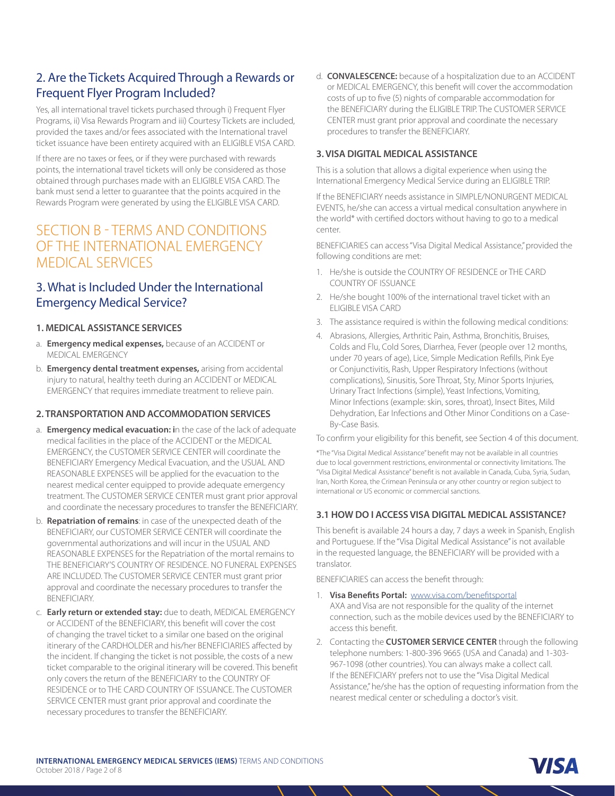# 2. Are the Tickets Acquired Through a Rewards or Frequent Flyer Program Included?

Yes, all international travel tickets purchased through i) Frequent Flyer Programs, ii) Visa Rewards Program and iii) Courtesy Tickets are included, provided the taxes and/or fees associated with the International travel ticket issuance have been entirety acquired with an ELIGIBLE VISA CARD.

If there are no taxes or fees, or if they were purchased with rewards points, the international travel tickets will only be considered as those obtained through purchases made with an ELIGIBLE VISA CARD. The bank must send a letter to guarantee that the points acquired in the Rewards Program were generated by using the ELIGIBLE VISA CARD.

# SECTION B - TERMS AND CONDITIONS OF THE INTERNATIONAL EMERGENCY MEDICAL SERVICES

# 3. What is Included Under the International Emergency Medical Service?

## **1. MEDICAL ASSISTANCE SERVICES**

- a. **Emergency medical expenses,** because of an ACCIDENT or MEDICAL EMERGENCY
- b. **Emergency dental treatment expenses,** arising from accidental injury to natural, healthy teeth during an ACCIDENT or MEDICAL EMERGENCY that requires immediate treatment to relieve pain.

## **2. TRANSPORTATION AND ACCOMMODATION SERVICES**

- a. **Emergency medical evacuation: i**n the case of the lack of adequate medical facilities in the place of the ACCIDENT or the MEDICAL EMERGENCY, the CUSTOMER SERVICE CENTER will coordinate the BENEFICIARY Emergency Medical Evacuation, and the USUAL AND REASONABLE EXPENSES will be applied for the evacuation to the nearest medical center equipped to provide adequate emergency treatment. The CUSTOMER SERVICE CENTER must grant prior approval and coordinate the necessary procedures to transfer the BENEFICIARY.
- b. **Repatriation of remains**: in case of the unexpected death of the BENEFICIARY, our CUSTOMER SERVICE CENTER will coordinate the governmental authorizations and will incur in the USUAL AND REASONABLE EXPENSES for the Repatriation of the mortal remains to THE BENEFICIARY'S COUNTRY OF RESIDENCE. NO FUNERAL EXPENSES ARE INCLUDED. The CUSTOMER SERVICE CENTER must grant prior approval and coordinate the necessary procedures to transfer the BENEFICIARY.
- c. **Early return or extended stay:** due to death, MEDICAL EMERGENCY or ACCIDENT of the BENEFICIARY, this benefit will cover the cost of changing the travel ticket to a similar one based on the original itinerary of the CARDHOLDER and his/her BENEFICIARIES affected by the incident. If changing the ticket is not possible, the costs of a new ticket comparable to the original itinerary will be covered. This benefit only covers the return of the BENEFICIARY to the COUNTRY OF RESIDENCE or to THE CARD COUNTRY OF ISSUANCE. The CUSTOMER SERVICE CENTER must grant prior approval and coordinate the necessary procedures to transfer the BENEFICIARY.

d. **CONVALESCENCE:** because of a hospitalization due to an ACCIDENT or MEDICAL EMERGENCY, this benefit will cover the accommodation costs of up to five (5) nights of comparable accommodation for the BENEFICIARY during the ELIGIBLE TRIP. The CUSTOMER SERVICE CENTER must grant prior approval and coordinate the necessary procedures to transfer the BENEFICIARY.

## **3. VISA DIGITAL MEDICAL ASSISTANCE**

This is a solution that allows a digital experience when using the International Emergency Medical Service during an ELIGIBLE TRIP.

If the BENEFICIARY needs assistance in SIMPLE/NONURGENT MEDICAL EVENTS, he/she can access a virtual medical consultation anywhere in the world\* with certified doctors without having to go to a medical center.

BENEFICIARIES can access "Visa Digital Medical Assistance," provided the following conditions are met:

- 1. He/she is outside the COUNTRY OF RESIDENCE or THE CARD COUNTRY OF ISSUANCE
- 2. He/she bought 100% of the international travel ticket with an ELIGIBLE VISA CARD
- 3. The assistance required is within the following medical conditions:
- 4. Abrasions, Allergies, Arthritic Pain, Asthma, Bronchitis, Bruises, Colds and Flu, Cold Sores, Diarrhea, Fever (people over 12 months, under 70 years of age), Lice, Simple Medication Refills, Pink Eye or Conjunctivitis, Rash, Upper Respiratory Infections (without complications), Sinusitis, Sore Throat, Sty, Minor Sports Injuries, Urinary Tract Infections (simple), Yeast Infections, Vomiting, Minor Infections (example: skin, sores, throat), Insect Bites, Mild Dehydration, Ear Infections and Other Minor Conditions on a Case-By-Case Basis.

To confirm your eligibility for this benefit, see Section 4 of this document.

\*The "Visa Digital Medical Assistance" benefit may not be available in all countries due to local government restrictions, environmental or connectivity limitations. The "Visa Digital Medical Assistance" benefit is not available in Canada, Cuba, Syria, Sudan, Iran, North Korea, the Crimean Peninsula or any other country or region subject to international or US economic or commercial sanctions.

#### **3.1 HOW DO I ACCESS VISA DIGITAL MEDICAL ASSISTANCE?**

This benefit is available 24 hours a day, 7 days a week in Spanish, English and Portuguese. If the "Visa Digital Medical Assistance" is not available in the requested language, the BENEFICIARY will be provided with a translator.

BENEFICIARIES can access the benefit through:

- 1. **Visa Benefits Portal:** www.visa.com/benefitsportal AXA and Visa are not responsible for the quality of the internet connection, such as the mobile devices used by the BENEFICIARY to access this benefit.
- 2. Contacting the **CUSTOMER SERVICE CENTER** through the following telephone numbers: 1-800-396 9665 (USA and Canada) and 1-303- 967-1098 (other countries). You can always make a collect call. If the BENEFICIARY prefers not to use the "Visa Digital Medical Assistance," he/she has the option of requesting information from the nearest medical center or scheduling a doctor's visit.

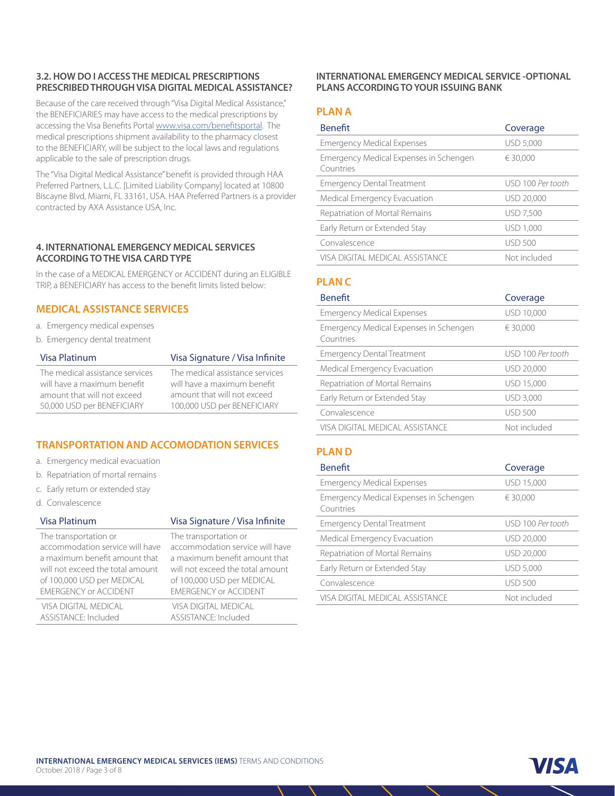## **3.2. HOW DO I ACCESS THE MEDICAL PRESCRIPTIONS PRESCRIBED THROUGH VISA DIGITAL MEDICAL ASSISTANCE?**

Because of the care received through "Visa Digital Medical Assistance," the BENEFICIARIES may have access to the medical prescriptions by accessing the Visa Benefits Portal www.visa.com/benefitsportal. The medical prescriptions shipment availability to the pharmacy closest to the BENEFICIARY, will be subject to the local laws and regulations applicable to the sale of prescription drugs.

The "Visa Digital Medical Assistance" benefit is provided through HAA Preferred Partners, L.L.C. [Limited Liability Company] located at 10800 Biscayne Blvd, Miami, FL 33161, USA. HAA Preferred Partners is a provider contracted by AXA Assistance USA, Inc.

#### **4. INTERNATIONAL EMERGENCY MEDICAL SERVICES ACCORDING TO THE VISA CARD TYPE**

In the case of a MEDICAL EMERGENCY or ACCIDENT during an ELIGIBLE TRIP, a BENEFICIARY has access to the benefit limits listed below:

## **MEDICAL ASSISTANCE SERVICES**

- a. Emergency medical expenses
- b. Emergency dental treatment

| Visa Platinum                   | Visa Signature / Visa Infinite  |
|---------------------------------|---------------------------------|
| The medical assistance services | The medical assistance services |
| will have a maximum benefit     | will have a maximum benefit     |
| amount that will not exceed     | amount that will not exceed     |
| 50,000 USD per BENEFICIARY      | 100,000 USD per BENEFICIARY     |

# **TRANSPORTATION AND ACCOMODATION SERVICES**

- a. Emergency medical evacuation
- b. Repatriation of mortal remains
- c. Early return or extended stay
- d. Convalescence

#### Visa Platinum Visa Signature / Visa Infinite

| The transportation or            | The transportation or            |
|----------------------------------|----------------------------------|
| accommodation service will have  | accommodation service will have  |
| a maximum benefit amount that    | a maximum benefit amount that    |
| will not exceed the total amount | will not exceed the total amount |
| of 100,000 USD per MEDICAL       | of 100,000 USD per MEDICAL       |
| <b>EMERGENCY or ACCIDENT</b>     | <b>EMERGENCY or ACCIDENT</b>     |
| VISA DIGITAL MEDICAL             | <b>VISA DIGITAL MEDICAL</b>      |
| ASSISTANCE: Included             | ASSISTANCE: Included             |

#### **INTERNATIONAL EMERGENCY MEDICAL SERVICE -OPTIONAL PLANS ACCORDING TO YOUR ISSUING BANK**

## **PLAN A**

| <b>Benefit</b>                                      | Coverage          |
|-----------------------------------------------------|-------------------|
| <b>Emergency Medical Expenses</b>                   | <b>USD 5,000</b>  |
| Emergency Medical Expenses in Schengen<br>Countries | € 30,000          |
| <b>Emergency Dental Treatment</b>                   | USD 100 Per tooth |
| Medical Emergency Evacuation                        | USD 20,000        |
| Repatriation of Mortal Remains                      | <b>USD 7,500</b>  |
| Early Return or Extended Stay                       | USD 1,000         |
| Convalescence                                       | <b>USD 500</b>    |
| VISA DIGITAL MEDICAL ASSISTANCE                     | Not included      |

# **PLAN C**

| Coverage          |
|-------------------|
| USD 10,000        |
| € 30.000          |
| USD 100 Per tooth |
| USD 20,000        |
| USD 15,000        |
| <b>USD 3.000</b>  |
| USD 500           |
| Not included      |
|                   |

# **PLAN D**

| <b>Benefit</b>                                             | Coverage          |
|------------------------------------------------------------|-------------------|
| <b>Emergency Medical Expenses</b>                          | USD 15,000        |
| <b>Emergency Medical Expenses in Schengen</b><br>Countries | € 30.000          |
| <b>Emergency Dental Treatment</b>                          | USD 100 Per tooth |
| <b>Medical Emergency Evacuation</b>                        | USD 20,000        |
| Repatriation of Mortal Remains                             | USD 20,000        |
| Early Return or Extended Stay                              | <b>USD 5,000</b>  |
| Convalescence                                              | USD 500           |
| VISA DIGITAL MEDICAL ASSISTANCE                            | Not included      |

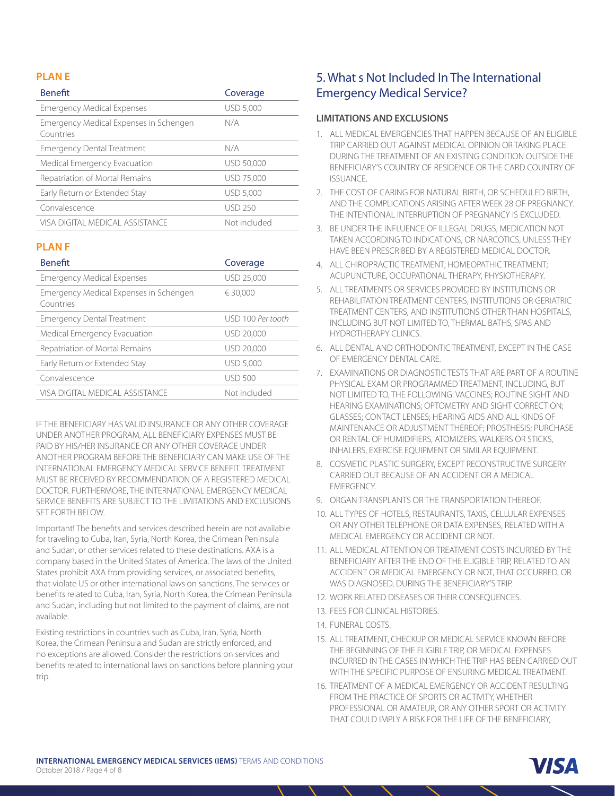## **PLAN E**

| <b>Benefit</b>                                             | Coverage         |
|------------------------------------------------------------|------------------|
| <b>Emergency Medical Expenses</b>                          | <b>USD 5,000</b> |
| <b>Emergency Medical Expenses in Schengen</b><br>Countries | N/A              |
| <b>Emergency Dental Treatment</b>                          | N/A              |
| <b>Medical Emergency Evacuation</b>                        | USD 50,000       |
| Repatriation of Mortal Remains                             | USD 75,000       |
| Early Return or Extended Stay                              | <b>USD 5,000</b> |
| Convalescence                                              | <b>USD 250</b>   |
| VISA DIGITAL MEDICAL ASSISTANCE                            | Not included     |

## **PLAN F**

| <b>Benefit</b>                                      | Coverage          |
|-----------------------------------------------------|-------------------|
| <b>Emergency Medical Expenses</b>                   | USD 25,000        |
| Emergency Medical Expenses in Schengen<br>Countries | € 30.000          |
| <b>Emergency Dental Treatment</b>                   | USD 100 Per tooth |
| Medical Emergency Evacuation                        | USD 20,000        |
| Repatriation of Mortal Remains                      | USD 20,000        |
| Early Return or Extended Stay                       | USD 5,000         |
| Convalescence                                       | <b>USD 500</b>    |
| VISA DIGITAL MEDICAL ASSISTANCE                     | Not included      |

IF THE BENEFICIARY HAS VALID INSURANCE OR ANY OTHER COVERAGE UNDER ANOTHER PROGRAM, ALL BENEFICIARY EXPENSES MUST BE PAID BY HIS/HER INSURANCE OR ANY OTHER COVERAGE UNDER ANOTHER PROGRAM BEFORE THE BENEFICIARY CAN MAKE USE OF THE INTERNATIONAL EMERGENCY MEDICAL SERVICE BENEFIT. TREATMENT MUST BE RECEIVED BY RECOMMENDATION OF A REGISTERED MEDICAL DOCTOR. FURTHERMORE, THE INTERNATIONAL EMERGENCY MEDICAL SERVICE BENEFITS ARE SUBJECT TO THE LIMITATIONS AND EXCLUSIONS SET FORTH BELOW.

Important! The benefits and services described herein are not available for traveling to Cuba, Iran, Syria, North Korea, the Crimean Peninsula and Sudan, or other services related to these destinations. AXA is a company based in the United States of America. The laws of the United States prohibit AXA from providing services, or associated benefits, that violate US or other international laws on sanctions. The services or benefits related to Cuba, Iran, Syria, North Korea, the Crimean Peninsula and Sudan, including but not limited to the payment of claims, are not available.

Existing restrictions in countries such as Cuba, Iran, Syria, North Korea, the Crimean Peninsula and Sudan are strictly enforced, and no exceptions are allowed. Consider the restrictions on services and benefits related to international laws on sanctions before planning your trip.

# 5. What s Not Included In The International Emergency Medical Service?

#### **LIMITATIONS AND EXCLUSIONS**

- 1. ALL MEDICAL EMERGENCIES THAT HAPPEN BECAUSE OF AN ELIGIBLE TRIP CARRIED OUT AGAINST MEDICAL OPINION OR TAKING PLACE DURING THE TREATMENT OF AN EXISTING CONDITION OUTSIDE THE BENEFICIARY'S COUNTRY OF RESIDENCE OR THE CARD COUNTRY OF ISSUANCE.
- 2. THE COST OF CARING FOR NATURAL BIRTH, OR SCHEDULED BIRTH, AND THE COMPLICATIONS ARISING AFTER WEEK 28 OF PREGNANCY. THE INTENTIONAL INTERRUPTION OF PREGNANCY IS EXCLUDED.
- 3. BE UNDER THE INFLUENCE OF ILLEGAL DRUGS, MEDICATION NOT TAKEN ACCORDING TO INDICATIONS, OR NARCOTICS, UNLESS THEY HAVE BEEN PRESCRIBED BY A REGISTERED MEDICAL DOCTOR.
- 4. ALL CHIROPRACTIC TREATMENT; HOMEOPATHIC TREATMENT; ACUPUNCTURE, OCCUPATIONAL THERAPY, PHYSIOTHERAPY.
- 5. ALL TREATMENTS OR SERVICES PROVIDED BY INSTITUTIONS OR REHABILITATION TREATMENT CENTERS, INSTITUTIONS OR GERIATRIC TREATMENT CENTERS, AND INSTITUTIONS OTHER THAN HOSPITALS, INCLUDING BUT NOT LIMITED TO, THERMAL BATHS, SPAS AND HYDROTHERAPY CLINICS.
- 6. ALL DENTAL AND ORTHODONTIC TREATMENT, EXCEPT IN THE CASE OF EMERGENCY DENTAL CARE.
- 7. EXAMINATIONS OR DIAGNOSTIC TESTS THAT ARE PART OF A ROUTINE PHYSICAL EXAM OR PROGRAMMED TREATMENT, INCLUDING, BUT NOT LIMITED TO, THE FOLLOWING: VACCINES; ROUTINE SIGHT AND HEARING EXAMINATIONS; OPTOMETRY AND SIGHT CORRECTION; GLASSES; CONTACT LENSES; HEARING AIDS AND ALL KINDS OF MAINTENANCE OR ADJUSTMENT THEREOF; PROSTHESIS; PURCHASE OR RENTAL OF HUMIDIFIERS, ATOMIZERS, WALKERS OR STICKS, INHALERS, EXERCISE EQUIPMENT OR SIMILAR EQUIPMENT.
- 8. COSMETIC PLASTIC SURGERY, EXCEPT RECONSTRUCTIVE SURGERY CARRIED OUT BECAUSE OF AN ACCIDENT OR A MEDICAL EMERGENCY.
- 9. ORGAN TRANSPLANTS OR THE TRANSPORTATION THEREOF.
- 10. ALL TYPES OF HOTELS, RESTAURANTS, TAXIS, CELLULAR EXPENSES OR ANY OTHER TELEPHONE OR DATA EXPENSES, RELATED WITH A MEDICAL EMERGENCY OR ACCIDENT OR NOT.
- 11. ALL MEDICAL ATTENTION OR TREATMENT COSTS INCURRED BY THE BENEFICIARY AFTER THE END OF THE ELIGIBLE TRIP, RELATED TO AN ACCIDENT OR MEDICAL EMERGENCY OR NOT, THAT OCCURRED, OR WAS DIAGNOSED, DURING THE BENEFICIARY'S TRIP.
- 12. WORK RELATED DISEASES OR THEIR CONSEQUENCES.
- 13. FEES FOR CLINICAL HISTORIES.
- 14. FUNERAL COSTS.
- 15. ALL TREATMENT, CHECKUP OR MEDICAL SERVICE KNOWN BEFORE THE BEGINNING OF THE ELIGIBLE TRIP, OR MEDICAL EXPENSES INCURRED IN THE CASES IN WHICH THE TRIP HAS BEEN CARRIED OUT WITH THE SPECIFIC PURPOSE OF ENSURING MEDICAL TREATMENT.
- 16. TREATMENT OF A MEDICAL EMERGENCY OR ACCIDENT RESULTING FROM THE PRACTICE OF SPORTS OR ACTIVITY, WHETHER PROFESSIONAL OR AMATEUR, OR ANY OTHER SPORT OR ACTIVITY THAT COULD IMPLY A RISK FOR THE LIFE OF THE BENEFICIARY,

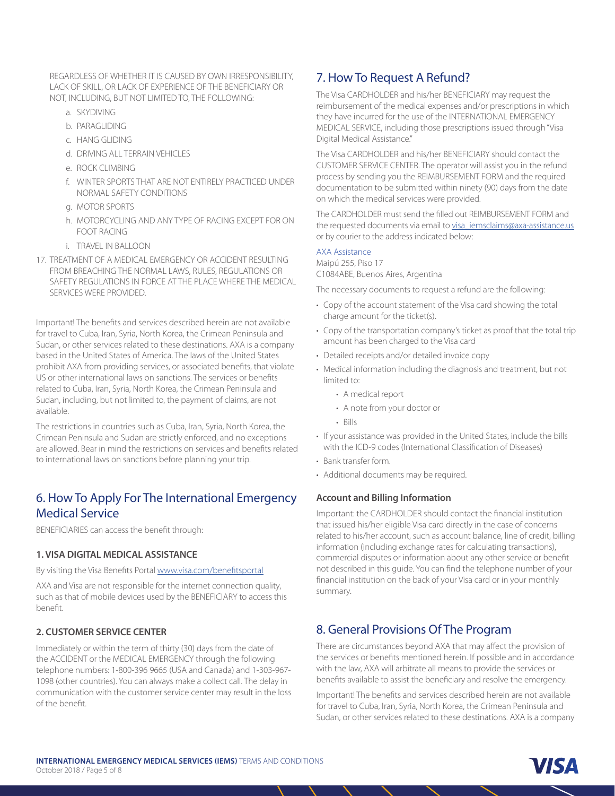REGARDLESS OF WHETHER IT IS CAUSED BY OWN IRRESPONSIBILITY, LACK OF SKILL, OR LACK OF EXPERIENCE OF THE BENEFICIARY OR NOT, INCLUDING, BUT NOT LIMITED TO, THE FOLLOWING:

- a. SKYDIVING
- b. PARAGLIDING
- c. HANG GLIDING
- d. DRIVING ALL TERRAIN VEHICLES
- e. ROCK CLIMBING
- f. WINTER SPORTS THAT ARE NOT ENTIRELY PRACTICED UNDER NORMAL SAFETY CONDITIONS
- g. MOTOR SPORTS
- h. MOTORCYCLING AND ANY TYPE OF RACING EXCEPT FOR ON FOOT RACING
- i. TRAVEL IN BALLOON
- 17. TREATMENT OF A MEDICAL EMERGENCY OR ACCIDENT RESULTING FROM BREACHING THE NORMAL LAWS, RULES, REGULATIONS OR SAFETY REGULATIONS IN FORCE AT THE PLACE WHERE THE MEDICAL SERVICES WERE PROVIDED.

Important! The benefits and services described herein are not available for travel to Cuba, Iran, Syria, North Korea, the Crimean Peninsula and Sudan, or other services related to these destinations. AXA is a company based in the United States of America. The laws of the United States prohibit AXA from providing services, or associated benefits, that violate US or other international laws on sanctions. The services or benefits related to Cuba, Iran, Syria, North Korea, the Crimean Peninsula and Sudan, including, but not limited to, the payment of claims, are not available.

The restrictions in countries such as Cuba, Iran, Syria, North Korea, the Crimean Peninsula and Sudan are strictly enforced, and no exceptions are allowed. Bear in mind the restrictions on services and benefits related to international laws on sanctions before planning your trip.

# 6. How To Apply For The International Emergency Medical Service

BENEFICIARIES can access the benefit through:

#### **1. VISA DIGITAL MEDICAL ASSISTANCE**

By visiting the Visa Benefits Portal www.visa.com/benefitsportal

AXA and Visa are not responsible for the internet connection quality, such as that of mobile devices used by the BENEFICIARY to access this benefit.

## **2. CUSTOMER SERVICE CENTER**

Immediately or within the term of thirty (30) days from the date of the ACCIDENT or the MEDICAL EMERGENCY through the following telephone numbers: 1-800-396 9665 (USA and Canada) and 1-303-967- 1098 (other countries). You can always make a collect call. The delay in communication with the customer service center may result in the loss of the benefit.

# 7. How To Request A Refund?

The Visa CARDHOLDER and his/her BENEFICIARY may request the reimbursement of the medical expenses and/or prescriptions in which they have incurred for the use of the INTERNATIONAL EMERGENCY MEDICAL SERVICE, including those prescriptions issued through "Visa Digital Medical Assistance."

The Visa CARDHOLDER and his/her BENEFICIARY should contact the CUSTOMER SERVICE CENTER. The operator will assist you in the refund process by sending you the REIMBURSEMENT FORM and the required documentation to be submitted within ninety (90) days from the date on which the medical services were provided.

The CARDHOLDER must send the filled out REIMBURSEMENT FORM and the requested documents via email to visa\_iemsclaims@axa-assistance.us or by courier to the address indicated below:

#### AXA Assistance

Maipú 255, Piso 17 C1084ABE, Buenos Aires, Argentina

The necessary documents to request a refund are the following:

- Copy of the account statement of the Visa card showing the total charge amount for the ticket(s).
- Copy of the transportation company's ticket as proof that the total trip amount has been charged to the Visa card
- Detailed receipts and/or detailed invoice copy
- Medical information including the diagnosis and treatment, but not limited to:
	- A medical report
	- A note from your doctor or
	- Bills
- If your assistance was provided in the United States, include the bills with the ICD-9 codes (International Classification of Diseases)
- Bank transfer form.
- Additional documents may be required.

#### **Account and Billing Information**

Important: the CARDHOLDER should contact the financial institution that issued his/her eligible Visa card directly in the case of concerns related to his/her account, such as account balance, line of credit, billing information (including exchange rates for calculating transactions), commercial disputes or information about any other service or benefit not described in this guide. You can find the telephone number of your financial institution on the back of your Visa card or in your monthly summary.

# 8. General Provisions Of The Program

There are circumstances beyond AXA that may affect the provision of the services or benefits mentioned herein. If possible and in accordance with the law, AXA will arbitrate all means to provide the services or benefits available to assist the beneficiary and resolve the emergency.

Important! The benefits and services described herein are not available for travel to Cuba, Iran, Syria, North Korea, the Crimean Peninsula and Sudan, or other services related to these destinations. AXA is a company

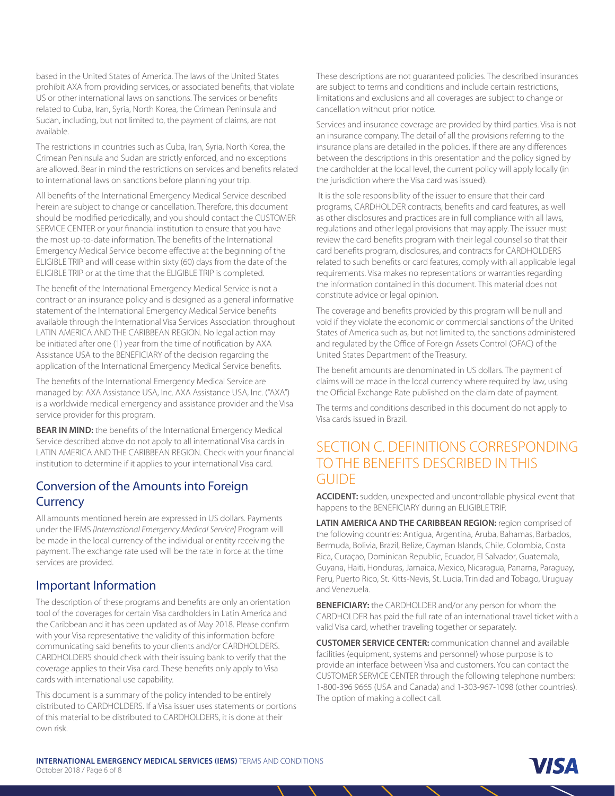based in the United States of America. The laws of the United States prohibit AXA from providing services, or associated benefits, that violate US or other international laws on sanctions. The services or benefits related to Cuba, Iran, Syria, North Korea, the Crimean Peninsula and Sudan, including, but not limited to, the payment of claims, are not available.

The restrictions in countries such as Cuba, Iran, Syria, North Korea, the Crimean Peninsula and Sudan are strictly enforced, and no exceptions are allowed. Bear in mind the restrictions on services and benefits related to international laws on sanctions before planning your trip.

All benefits of the International Emergency Medical Service described herein are subject to change or cancellation. Therefore, this document should be modified periodically, and you should contact the CUSTOMER SERVICE CENTER or your financial institution to ensure that you have the most up-to-date information. The benefits of the International Emergency Medical Service become effective at the beginning of the ELIGIBLE TRIP and will cease within sixty (60) days from the date of the ELIGIBLE TRIP or at the time that the ELIGIBLE TRIP is completed.

The benefit of the International Emergency Medical Service is not a contract or an insurance policy and is designed as a general informative statement of the International Emergency Medical Service benefits available through the International Visa Services Association throughout LATIN AMERICA AND THE CARIBBEAN REGION. No legal action may be initiated after one (1) year from the time of notification by AXA Assistance USA to the BENEFICIARY of the decision regarding the application of the International Emergency Medical Service benefits.

The benefits of the International Emergency Medical Service are managed by: AXA Assistance USA, Inc. AXA Assistance USA, Inc. ("AXA") is a worldwide medical emergency and assistance provider and the Visa service provider for this program.

**BEAR IN MIND:** the benefits of the International Emergency Medical Service described above do not apply to all international Visa cards in LATIN AMERICA AND THE CARIBBEAN REGION. Check with your financial institution to determine if it applies to your international Visa card.

# Conversion of the Amounts into Foreign **Currency**

All amounts mentioned herein are expressed in US dollars. Payments under the IEMS *[International Emergency Medical Service]* Program will be made in the local currency of the individual or entity receiving the payment. The exchange rate used will be the rate in force at the time services are provided.

# Important Information

The description of these programs and benefits are only an orientation tool of the coverages for certain Visa cardholders in Latin America and the Caribbean and it has been updated as of May 2018. Please confirm with your Visa representative the validity of this information before communicating said benefits to your clients and/or CARDHOLDERS. CARDHOLDERS should check with their issuing bank to verify that the coverage applies to their Visa card. These benefits only apply to Visa cards with international use capability.

This document is a summary of the policy intended to be entirely distributed to CARDHOLDERS. If a Visa issuer uses statements or portions of this material to be distributed to CARDHOLDERS, it is done at their own risk.

These descriptions are not guaranteed policies. The described insurances are subject to terms and conditions and include certain restrictions, limitations and exclusions and all coverages are subject to change or cancellation without prior notice.

Services and insurance coverage are provided by third parties. Visa is not an insurance company. The detail of all the provisions referring to the insurance plans are detailed in the policies. If there are any differences between the descriptions in this presentation and the policy signed by the cardholder at the local level, the current policy will apply locally (in the jurisdiction where the Visa card was issued).

 It is the sole responsibility of the issuer to ensure that their card programs, CARDHOLDER contracts, benefits and card features, as well as other disclosures and practices are in full compliance with all laws, regulations and other legal provisions that may apply. The issuer must review the card benefits program with their legal counsel so that their card benefits program, disclosures, and contracts for CARDHOLDERS related to such benefits or card features, comply with all applicable legal requirements. Visa makes no representations or warranties regarding the information contained in this document. This material does not constitute advice or legal opinion.

The coverage and benefits provided by this program will be null and void if they violate the economic or commercial sanctions of the United States of America such as, but not limited to, the sanctions administered and regulated by the Office of Foreign Assets Control (OFAC) of the United States Department of the Treasury.

The benefit amounts are denominated in US dollars. The payment of claims will be made in the local currency where required by law, using the Official Exchange Rate published on the claim date of payment.

The terms and conditions described in this document do not apply to Visa cards issued in Brazil.

# SECTION C. DEFINITIONS CORRESPONDING TO THE BENEFITS DESCRIBED IN THIS **GUIDE**

**ACCIDENT:** sudden, unexpected and uncontrollable physical event that happens to the BENEFICIARY during an ELIGIBLE TRIP.

**LATIN AMERICA AND THE CARIBBEAN REGION:** region comprised of the following countries: Antigua, Argentina, Aruba, Bahamas, Barbados, Bermuda, Bolivia, Brazil, Belize, Cayman Islands, Chile, Colombia, Costa Rica, Curaçao, Dominican Republic, Ecuador, El Salvador, Guatemala, Guyana, Haiti, Honduras, Jamaica, Mexico, Nicaragua, Panama, Paraguay, Peru, Puerto Rico, St. Kitts-Nevis, St. Lucia, Trinidad and Tobago, Uruguay and Venezuela.

**BENEFICIARY:** the CARDHOLDER and/or any person for whom the CARDHOLDER has paid the full rate of an international travel ticket with a valid Visa card, whether traveling together or separately.

**CUSTOMER SERVICE CENTER:** communication channel and available facilities (equipment, systems and personnel) whose purpose is to provide an interface between Visa and customers. You can contact the CUSTOMER SERVICE CENTER through the following telephone numbers: 1-800-396 9665 (USA and Canada) and 1-303-967-1098 (other countries). The option of making a collect call.

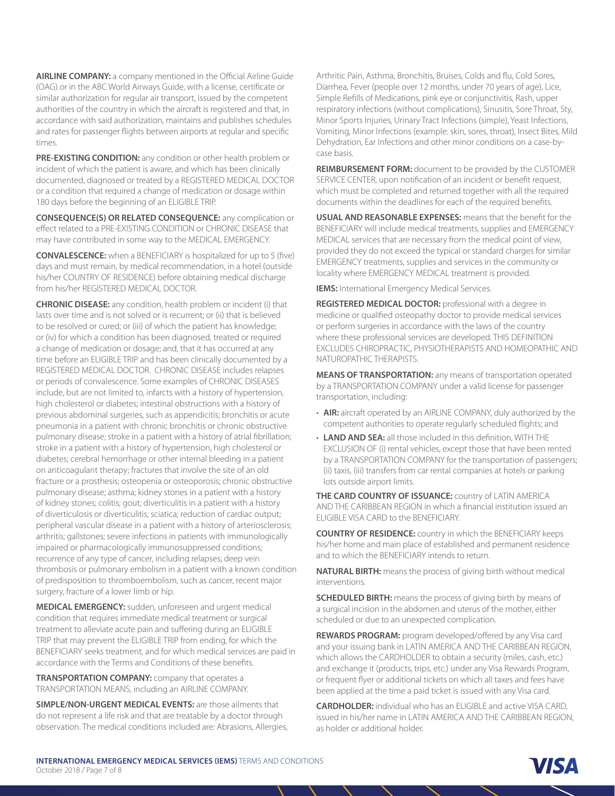**AIRLINE COMPANY:** a company mentioned in the Official Airline Guide (OAG) or in the ABC World Airways Guide, with a license, certificate or similar authorization for regular air transport, issued by the competent authorities of the country in which the aircraft is registered and that, in accordance with said authorization, maintains and publishes schedules and rates for passenger flights between airports at regular and specific times.

**PRE-EXISTING CONDITION:** any condition or other health problem or incident of which the patient is aware, and which has been clinically documented, diagnosed or treated by a REGISTERED MEDICAL DOCTOR or a condition that required a change of medication or dosage within 180 days before the beginning of an ELIGIBLE TRIP.

**CONSEQUENCE(S) OR RELATED CONSEQUENCE:** any complication or effect related to a PRE-EXISTING CONDITION or CHRONIC DISEASE that may have contributed in some way to the MEDICAL EMERGENCY.

**CONVALESCENCE:** when a BENEFICIARY is hospitalized for up to 5 (five) days and must remain, by medical recommendation, in a hotel (outside his/her COUNTRY OF RESIDENCE) before obtaining medical discharge from his/her REGISTERED MEDICAL DOCTOR.

**CHRONIC DISEASE:** any condition, health problem or incident (i) that lasts over time and is not solved or is recurrent; or (ii) that is believed to be resolved or cured; or (iii) of which the patient has knowledge; or (iv) for which a condition has been diagnosed, treated or required a change of medication or dosage; and, that it has occurred at any time before an ELIGIBLE TRIP and has been clinically documented by a REGISTERED MEDICAL DOCTOR. CHRONIC DISEASE includes relapses or periods of convalescence. Some examples of CHRONIC DISEASES include, but are not limited to, infarcts with a history of hypertension, high cholesterol or diabetes; intestinal obstructions with a history of previous abdominal surgeries, such as appendicitis; bronchitis or acute pneumonia in a patient with chronic bronchitis or chronic obstructive pulmonary disease; stroke in a patient with a history of atrial fibrillation; stroke in a patient with a history of hypertension, high cholesterol or diabetes; cerebral hemorrhage or other internal bleeding in a patient on anticoagulant therapy; fractures that involve the site of an old fracture or a prosthesis; osteopenia or osteoporosis; chronic obstructive pulmonary disease; asthma; kidney stones in a patient with a history of kidney stones; colitis; gout; diverticulitis in a patient with a history of diverticulosis or diverticulitis; sciatica; reduction of cardiac output; peripheral vascular disease in a patient with a history of arteriosclerosis; arthritis; gallstones; severe infections in patients with immunologically impaired or pharmacologically immunosuppressed conditions; recurrence of any type of cancer, including relapses; deep vein thrombosis or pulmonary embolism in a patient with a known condition of predisposition to thromboembolism, such as cancer, recent major surgery, fracture of a lower limb or hip.

**MEDICAL EMERGENCY:** sudden, unforeseen and urgent medical condition that requires immediate medical treatment or surgical treatment to alleviate acute pain and suffering during an ELIGIBLE TRIP that may prevent the ELIGIBLE TRIP from ending, for which the BENEFICIARY seeks treatment, and for which medical services are paid in accordance with the Terms and Conditions of these benefits.

**TRANSPORTATION COMPANY:** company that operates a TRANSPORTATION MEANS, including an AIRLINE COMPANY.

**SIMPLE/NON-URGENT MEDICAL EVENTS:** are those ailments that do not represent a life risk and that are treatable by a doctor through observation. The medical conditions included are: Abrasions, Allergies, Arthritic Pain, Asthma, Bronchitis, Bruises, Colds and flu, Cold Sores, Diarrhea, Fever (people over 12 months, under 70 years of age), Lice, Simple Refills of Medications, pink eye or conjunctivitis, Rash, upper respiratory infections (without complications), Sinusitis, Sore Throat, Sty, Minor Sports Injuries, Urinary Tract Infections (simple), Yeast Infections, Vomiting, Minor Infections (example: skin, sores, throat), Insect Bites, Mild Dehydration, Ear Infections and other minor conditions on a case-bycase basis.

**REIMBURSEMENT FORM:** document to be provided by the CUSTOMER SERVICE CENTER, upon notification of an incident or benefit request, which must be completed and returned together with all the required documents within the deadlines for each of the required benefits.

**USUAL AND REASONABLE EXPENSES:** means that the benefit for the BENEFICIARY will include medical treatments, supplies and EMERGENCY MEDICAL services that are necessary from the medical point of view, provided they do not exceed the typical or standard charges for similar EMERGENCY treatments, supplies and services in the community or locality where EMERGENCY MEDICAL treatment is provided.

**IEMS:** International Emergency Medical Services.

**REGISTERED MEDICAL DOCTOR:** professional with a degree in medicine or qualified osteopathy doctor to provide medical services or perform surgeries in accordance with the laws of the country where these professional services are developed. THIS DEFINITION EXCLUDES CHIROPRACTIC, PHYSIOTHERAPISTS AND HOMEOPATHIC AND NATUROPATHIC THERAPISTS.

**MEANS OF TRANSPORTATION:** any means of transportation operated by a TRANSPORTATION COMPANY under a valid license for passenger transportation, including:

- **AIR:** aircraft operated by an AIRLINE COMPANY, duly authorized by the competent authorities to operate regularly scheduled flights; and
- **LAND AND SEA:** all those included in this definition, WITH THE EXCLUSION OF (i) rental vehicles, except those that have been rented by a TRANSPORTATION COMPANY for the transportation of passengers; (ii) taxis, (iii) transfers from car rental companies at hotels or parking lots outside airport limits.

**THE CARD COUNTRY OF ISSUANCE:** country of LATIN AMERICA AND THE CARIBBEAN REGION in which a financial institution issued an ELIGIBLE VISA CARD to the BENEFICIARY.

**COUNTRY OF RESIDENCE:** country in which the BENEFICIARY keeps his/her home and main place of established and permanent residence and to which the BENEFICIARY intends to return.

**NATURAL BIRTH:** means the process of giving birth without medical interventions.

**SCHEDULED BIRTH:** means the process of giving birth by means of a surgical incision in the abdomen and uterus of the mother, either scheduled or due to an unexpected complication.

**REWARDS PROGRAM:** program developed/offered by any Visa card and your issuing bank in LATIN AMERICA AND THE CARIBBEAN REGION, which allows the CARDHOLDER to obtain a security (miles, cash, etc.) and exchange it (products, trips, etc.) under any Visa Rewards Program, or frequent flyer or additional tickets on which all taxes and fees have been applied at the time a paid ticket is issued with any Visa card.

**CARDHOLDER:** individual who has an ELIGIBLE and active VISA CARD, issued in his/her name in LATIN AMERICA AND THE CARIBBEAN REGION, as holder or additional holder.